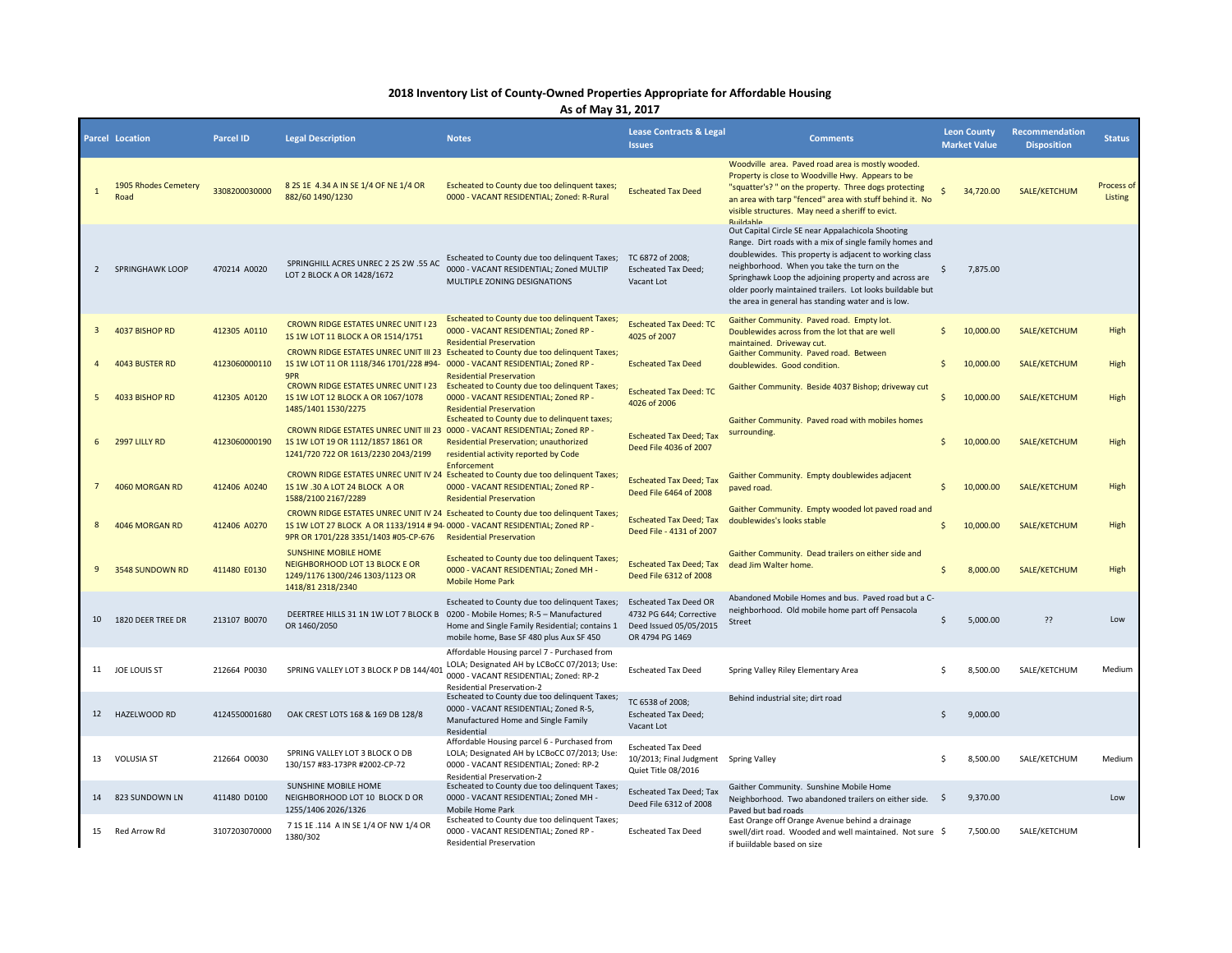## **2018 Inventory List of County-Owned Properties Appropriate for Affordable Housing**

**As of May 31, 2017**

|                | Parcel Location                     | <b>Parcel ID</b> | <b>Legal Description</b>                                                                                                                                | <b>Notes</b>                                                                                                                                                                           | <b>Lease Contracts &amp; Legal</b><br><b>Issues</b>                                                  | <b>Comments</b>                                                                                                                                                                                                                                                                                                                                                                                    | <b>Leon County</b><br><b>Market Value</b> | <b>Recommendation</b><br><b>Disposition</b> | <b>Status</b>         |
|----------------|-------------------------------------|------------------|---------------------------------------------------------------------------------------------------------------------------------------------------------|----------------------------------------------------------------------------------------------------------------------------------------------------------------------------------------|------------------------------------------------------------------------------------------------------|----------------------------------------------------------------------------------------------------------------------------------------------------------------------------------------------------------------------------------------------------------------------------------------------------------------------------------------------------------------------------------------------------|-------------------------------------------|---------------------------------------------|-----------------------|
|                | <b>1905 Rhodes Cemetery</b><br>Road | 3308200030000    | 8 2S 1E 4.34 A IN SE 1/4 OF NE 1/4 OR<br>882/60 1490/1230                                                                                               | Escheated to County due too delinquent taxes;<br>0000 - VACANT RESIDENTIAL; Zoned: R-Rural                                                                                             | <b>Escheated Tax Deed</b>                                                                            | Woodville area. Paved road area is mostly wooded.<br>Property is close to Woodville Hwy. Appears to be<br>"squatter's? " on the property. Three dogs protecting<br>an area with tarp "fenced" area with stuff behind it. No<br>visible structures. May need a sheriff to evict.<br><b>Buildable</b>                                                                                                | $\mathsf{S}$<br>34,720.00                 | SALE/KETCHUM                                | Process of<br>Listing |
| $\overline{2}$ | <b>SPRINGHAWK LOOP</b>              | 470214 A0020     | SPRINGHILL ACRES UNREC 2 2S 2W .55 AC<br>LOT 2 BLOCK A OR 1428/1672                                                                                     | Escheated to County due too delinquent Taxes;<br>0000 - VACANT RESIDENTIAL; Zoned MULTIP<br>MULTIPLE ZONING DESIGNATIONS                                                               | TC 6872 of 2008;<br><b>Escheated Tax Deed;</b><br>Vacant Lot                                         | Out Capital Circle SE near Appalachicola Shooting<br>Range. Dirt roads with a mix of single family homes and<br>doublewides. This property is adjacent to working class<br>neighborhood. When you take the turn on the<br>Springhawk Loop the adjoining property and across are<br>older poorly maintained trailers. Lot looks buildable but<br>the area in general has standing water and is low. | Ś<br>7,875.00                             |                                             |                       |
| -3             | 4037 BISHOP RD                      | 412305 A0110     | <b>CROWN RIDGE ESTATES UNREC UNIT I 23</b><br>1S 1W LOT 11 BLOCK A OR 1514/1751                                                                         | Escheated to County due too delinquent Taxes;<br>0000 - VACANT RESIDENTIAL; Zoned RP -<br><b>Residential Preservation</b>                                                              | <b>Escheated Tax Deed: TC</b><br>4025 of 2007                                                        | Gaither Community. Paved road. Empty lot.<br>Doublewides across from the lot that are well<br>maintained. Drivewav cut.                                                                                                                                                                                                                                                                            | 10,000.00<br>Ś.                           | SALE/KETCHUM                                | High                  |
|                | 4043 BUSTER RD                      | 4123060000110    | 1S 1W LOT 11 OR 1118/346 1701/228 #94- 0000 - VACANT RESIDENTIAL; Zoned RP -<br>9PR                                                                     | CROWN RIDGE ESTATES UNREC UNIT III 23 Escheated to County due too delinquent Taxes;<br><b>Residential Preservation</b>                                                                 | <b>Escheated Tax Deed</b>                                                                            | Gaither Community. Paved road. Between<br>doublewides. Good condition.                                                                                                                                                                                                                                                                                                                             | 10,000.00<br>\$                           | SALE/KETCHUM                                | High                  |
|                | 4033 BISHOP RD                      | 412305 A0120     | 1S 1W LOT 12 BLOCK A OR 1067/1078<br>1485/1401 1530/2275                                                                                                | CROWN RIDGE ESTATES UNREC UNIT I 23 Escheated to County due too delinquent Taxes;<br>0000 - VACANT RESIDENTIAL; Zoned RP -<br><b>Residential Preservation</b>                          | <b>Escheated Tax Deed: TC</b><br>4026 of 2006                                                        | Gaither Community. Beside 4037 Bishop; driveway cut                                                                                                                                                                                                                                                                                                                                                | Ś.<br>10,000,00                           | SALE/KETCHUM                                | High                  |
| 6              | 2997 LILLY RD                       | 4123060000190    | CROWN RIDGE ESTATES UNREC UNIT III 23 0000 - VACANT RESIDENTIAL; Zoned RP -<br>1S 1W LOT 19 OR 1112/1857 1861 OR<br>1241/720 722 OR 1613/2230 2043/2199 | Escheated to County due to delinquent taxes;<br>Residential Preservation; unauthorized<br>residential activity reported by Code<br>Enforcement                                         | <b>Escheated Tax Deed; Tax</b><br>Deed File 4036 of 2007                                             | Gaither Community. Paved road with mobiles homes<br>surrounding.                                                                                                                                                                                                                                                                                                                                   | \$<br>10,000.00                           | SALE/KETCHUM                                | High                  |
|                | 4060 MORGAN RD                      | 412406 A0240     | 1S 1W .30 A LOT 24 BLOCK A OR<br>1588/2100 2167/2289                                                                                                    | CROWN RIDGE ESTATES UNREC UNIT IV 24 Escheated to County due too delinquent Taxes;<br>0000 - VACANT RESIDENTIAL; Zoned RP -<br><b>Residential Preservation</b>                         | <b>Escheated Tax Deed; Tax</b><br>Deed File 6464 of 2008                                             | Gaither Community. Empty doublewides adjacent<br>paved road.                                                                                                                                                                                                                                                                                                                                       | 10,000.00<br>\$                           | SALE/KETCHUM                                | High                  |
| 8              | 4046 MORGAN RD                      | 412406 A0270     | 1S 1W LOT 27 BLOCK A OR 1133/1914 # 94-0000 - VACANT RESIDENTIAL; Zoned RP -<br>9PR OR 1701/228 3351/1403 #05-CP-676                                    | CROWN RIDGE ESTATES UNREC UNIT IV 24 Escheated to County due too delinquent Taxes;<br><b>Residential Preservation</b>                                                                  | <b>Escheated Tax Deed; Tax</b><br>Deed File - 4131 of 2007                                           | Gaither Community. Empty wooded lot paved road and<br>doublewides's looks stable                                                                                                                                                                                                                                                                                                                   | \$<br>10,000.00                           | SALE/KETCHUM                                | High                  |
| -9             | 3548 SUNDOWN RD                     | 411480 E0130     | <b>SUNSHINE MOBILE HOME</b><br>NEIGHBORHOOD LOT 13 BLOCK E OR<br>1249/1176 1300/246 1303/1123 OR<br>1418/81 2318/2340                                   | Escheated to County due too delinquent Taxes;<br>0000 - VACANT RESIDENTIAL; Zoned MH -<br><b>Mobile Home Park</b>                                                                      | <b>Escheated Tax Deed; Tax</b><br>Deed File 6312 of 2008                                             | Gaither Community. Dead trailers on either side and<br>dead Jim Walter home.                                                                                                                                                                                                                                                                                                                       | 8,000.00<br>Ś.                            | SALE/KETCHUM                                | High                  |
|                | 10 1820 DEER TREE DR                | 213107 B0070     | DEERTREE HILLS 31 1N 1W LOT 7 BLOCK B<br>OR 1460/2050                                                                                                   | Escheated to County due too delinquent Taxes;<br>0200 - Mobile Homes; R-5 - Manufactured<br>Home and Single Family Residential; contains 1<br>mobile home, Base SF 480 plus Aux SF 450 | <b>Escheated Tax Deed OR</b><br>4732 PG 644; Corrective<br>Deed Issued 05/05/2015<br>OR 4794 PG 1469 | Abandoned Mobile Homes and bus. Paved road but a C-<br>neighborhood. Old mobile home part off Pensacola<br>Street                                                                                                                                                                                                                                                                                  | Ś<br>5.000.00                             | ??                                          | Low                   |
|                | 11 JOE LOUIS ST                     | 212664 P0030     | SPRING VALLEY LOT 3 BLOCK P DB 144/40                                                                                                                   | Affordable Housing parcel 7 - Purchased from<br>LOLA; Designated AH by LCBoCC 07/2013; Use:<br>0000 - VACANT RESIDENTIAL; Zoned: RP-2<br>Residential Preservation-2                    | <b>Escheated Tax Deed</b>                                                                            | Spring Valley Riley Elementary Area                                                                                                                                                                                                                                                                                                                                                                | 8,500.00<br>Ś.                            | SALE/KETCHUM                                | Medium                |
| 12             | HAZELWOOD RD                        | 4124550001680    | OAK CREST LOTS 168 & 169 DB 128/8                                                                                                                       | Escheated to County due too delinquent Taxes;<br>0000 - VACANT RESIDENTIAL; Zoned R-5,<br>Manufactured Home and Single Family<br>Residential                                           | TC 6538 of 2008;<br><b>Escheated Tax Deed;</b><br>Vacant Lot                                         | Behind industrial site; dirt road                                                                                                                                                                                                                                                                                                                                                                  | Ś.<br>9,000.00                            |                                             |                       |
| 13             | <b>VOLUSIA ST</b>                   | 212664 00030     | SPRING VALLEY LOT 3 BLOCK O DB<br>130/157 #83-173PR #2002-CP-72                                                                                         | Affordable Housing parcel 6 - Purchased from<br>LOLA; Designated AH by LCBoCC 07/2013; Use:<br>0000 - VACANT RESIDENTIAL; Zoned: RP-2<br><b>Residential Preservation-2</b>             | <b>Escheated Tax Deed</b><br>10/2013; Final Judgment Spring Valley<br>Quiet Title 08/2016            |                                                                                                                                                                                                                                                                                                                                                                                                    | Ś.<br>8,500.00                            | SALE/KETCHUM                                | Medium                |
| 14             | 823 SUNDOWN LN                      | 411480 D0100     | SUNSHINE MOBILE HOME<br>NEIGHBORHOOD LOT 10 BLOCK D OR<br>1255/1406 2026/1326                                                                           | Escheated to County due too delinquent Taxes;<br>0000 - VACANT RESIDENTIAL; Zoned MH -<br>Mobile Home Park                                                                             | <b>Escheated Tax Deed; Tax</b><br>Deed File 6312 of 2008                                             | Gaither Community. Sunshine Mobile Home<br>Neighborhood. Two abandoned trailers on either side.<br>Paved but bad roads                                                                                                                                                                                                                                                                             | 9,370.00<br>$\ddot{\mathsf{s}}$           |                                             | Low                   |
|                | 15 Red Arrow Rd                     | 3107203070000    | 7 1S 1E .114 A IN SE 1/4 OF NW 1/4 OR<br>1380/302                                                                                                       | Escheated to County due too delinquent Taxes;<br>0000 - VACANT RESIDENTIAL; Zoned RP -<br><b>Residential Preservation</b>                                                              | <b>Escheated Tax Deed</b>                                                                            | East Orange off Orange Avenue behind a drainage<br>swell/dirt road. Wooded and well maintained. Not sure \$<br>if buildable based on size                                                                                                                                                                                                                                                          | 7,500.00                                  | SALE/KETCHUM                                |                       |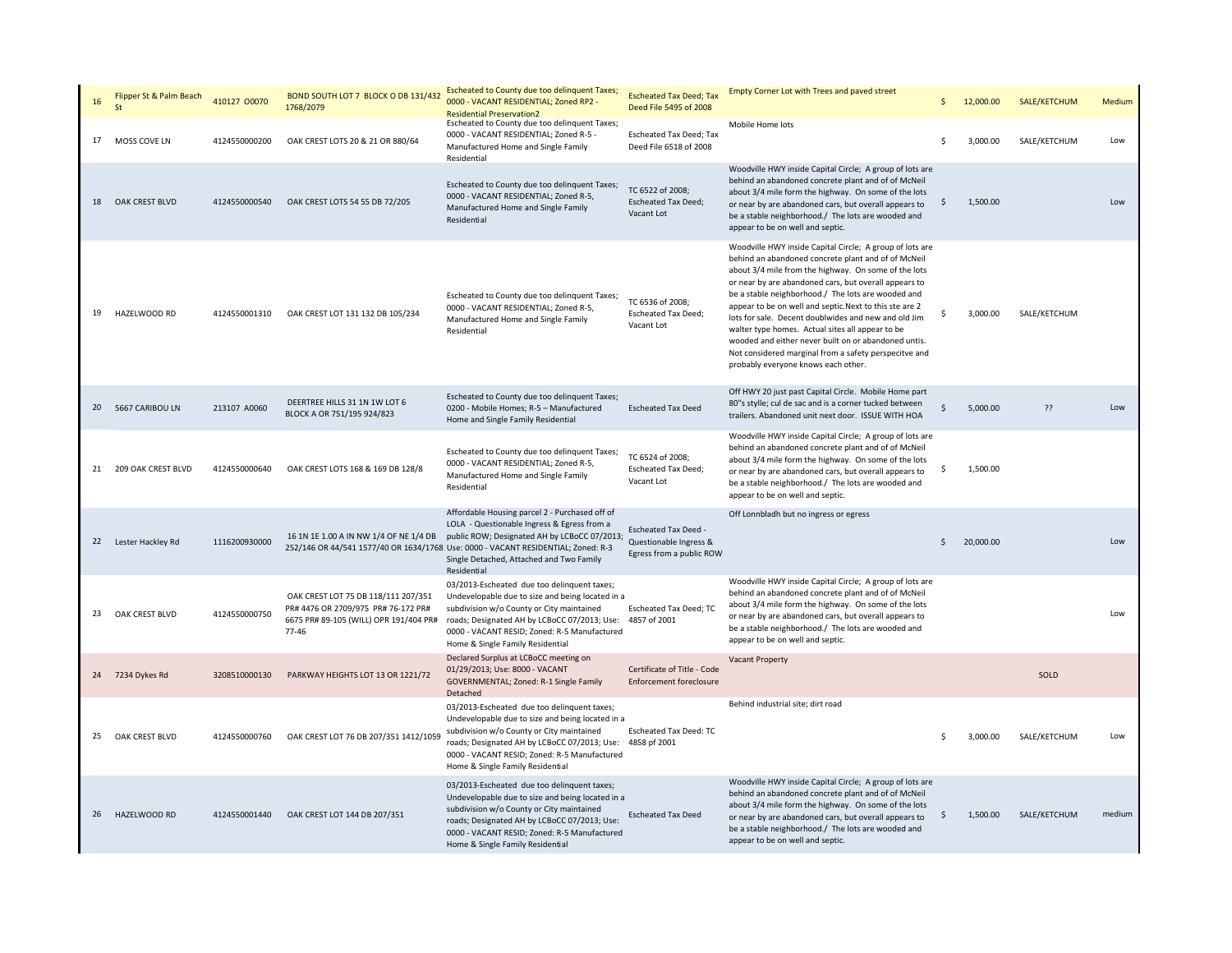| 16 | Flipper St & Palm Beach | 410127 00070  | BOND SOUTH LOT 7 BLOCK O DB 131/432<br>1768/2079                                                                                  | Escheated to County due too delinquent Taxes;<br>0000 - VACANT RESIDENTIAL; Zoned RP2 -<br><b>Residential Preservation2</b>                                                                                                                                                                                                                                 | <b>Escheated Tax Deed; Tax</b><br>Deed File 5495 of 2008     | Empty Corner Lot with Trees and paved street                                                                                                                                                                                                                                                                                                                                                                                                                                                                                                                                                                          |                    | 12,000.00 | SALE/KETCHUM | Medium |
|----|-------------------------|---------------|-----------------------------------------------------------------------------------------------------------------------------------|-------------------------------------------------------------------------------------------------------------------------------------------------------------------------------------------------------------------------------------------------------------------------------------------------------------------------------------------------------------|--------------------------------------------------------------|-----------------------------------------------------------------------------------------------------------------------------------------------------------------------------------------------------------------------------------------------------------------------------------------------------------------------------------------------------------------------------------------------------------------------------------------------------------------------------------------------------------------------------------------------------------------------------------------------------------------------|--------------------|-----------|--------------|--------|
| 17 | MOSS COVE LN            | 4124550000200 | OAK CREST LOTS 20 & 21 OR 880/64                                                                                                  | Escheated to County due too delinquent Taxes;<br>0000 - VACANT RESIDENTIAL; Zoned R-5 -<br>Manufactured Home and Single Family<br>Residential                                                                                                                                                                                                               | <b>Escheated Tax Deed; Tax</b><br>Deed File 6518 of 2008     | Mobile Home lots                                                                                                                                                                                                                                                                                                                                                                                                                                                                                                                                                                                                      | Ś                  | 3,000.00  | SALE/KETCHUM | Low    |
|    | 18 OAK CREST BLVD       | 4124550000540 | OAK CREST LOTS 54 55 DB 72/205                                                                                                    | Escheated to County due too delinquent Taxes;<br>0000 - VACANT RESIDENTIAL; Zoned R-5,<br>Manufactured Home and Single Family<br>Residential                                                                                                                                                                                                                | TC 6522 of 2008;<br><b>Escheated Tax Deed;</b><br>Vacant Lot | Woodville HWY inside Capital Circle; A group of lots are<br>behind an abandoned concrete plant and of of McNeil<br>about 3/4 mile form the highway. On some of the lots<br>or near by are abandoned cars, but overall appears to<br>be a stable neighborhood./ The lots are wooded and<br>appear to be on well and septic.                                                                                                                                                                                                                                                                                            | Ş                  | 1,500.00  |              | Low    |
| 19 | HAZELWOOD RD            | 4124550001310 | OAK CREST LOT 131 132 DB 105/234                                                                                                  | Escheated to County due too delinquent Taxes;<br>0000 - VACANT RESIDENTIAL; Zoned R-5,<br>Manufactured Home and Single Family<br>Residential                                                                                                                                                                                                                | TC 6536 of 2008;<br><b>Escheated Tax Deed;</b><br>Vacant Lot | Woodville HWY inside Capital Circle; A group of lots are<br>behind an abandoned concrete plant and of of McNeil<br>about 3/4 mile from the highway. On some of the lots<br>or near by are abandoned cars, but overall appears to<br>be a stable neighborhood./ The lots are wooded and<br>appear to be on well and septic. Next to this ste are 2<br>lots for sale. Decent doublwides and new and old Jim<br>walter type homes. Actual sites all appear to be<br>wooded and either never built on or abandoned untis.<br>Not considered marginal from a safety perspecitve and<br>probably everyone knows each other. | s                  | 3,000.00  | SALE/KETCHUM |        |
|    | 20 5667 CARIBOU LN      | 213107 A0060  | DEERTREE HILLS 31 1N 1W LOT 6<br>BLOCK A OR 751/195 924/823                                                                       | Escheated to County due too delinquent Taxes;<br>0200 - Mobile Homes; R-5 - Manufactured<br>Home and Single Family Residential                                                                                                                                                                                                                              | <b>Escheated Tax Deed</b>                                    | Off HWY 20 just past Capital Circle. Mobile Home part<br>80"s stylle; cul de sac and is a corner tucked between<br>trailers. Abandoned unit next door. ISSUE WITH HOA                                                                                                                                                                                                                                                                                                                                                                                                                                                 | $\mathsf{\hat{S}}$ | 5,000.00  | ??           | Low    |
|    | 21 209 OAK CREST BLVD   | 4124550000640 | OAK CREST LOTS 168 & 169 DB 128/8                                                                                                 | Escheated to County due too delinquent Taxes;<br>0000 - VACANT RESIDENTIAL; Zoned R-5,<br>Manufactured Home and Single Family<br>Residential                                                                                                                                                                                                                | TC 6524 of 2008;<br><b>Escheated Tax Deed;</b><br>Vacant Lot | Woodville HWY inside Capital Circle; A group of lots are<br>behind an abandoned concrete plant and of of McNeil<br>about 3/4 mile form the highway. On some of the lots<br>or near by are abandoned cars, but overall appears to<br>be a stable neighborhood./ The lots are wooded and<br>appear to be on well and septic.                                                                                                                                                                                                                                                                                            | \$                 | 1,500.00  |              |        |
|    | 22 Lester Hackley Rd    | 1116200930000 |                                                                                                                                   | Affordable Housing parcel 2 - Purchased off of<br>LOLA - Questionable Ingress & Egress from a<br>16 1N 1E 1.00 A IN NW 1/4 OF NE 1/4 DB public ROW; Designated AH by LCBoCC 07/2013; Questionable Ingress &<br>252/146 OR 44/541 1577/40 OR 1634/1768 Use: 0000 - VACANT RESIDENTIAL; Zoned: R-3<br>Single Detached, Attached and Two Family<br>Residential | Escheated Tax Deed -<br>Egress from a public ROW             | Off Lonnbladh but no ingress or egress                                                                                                                                                                                                                                                                                                                                                                                                                                                                                                                                                                                | Ś.                 | 20,000.00 |              | Low    |
| 23 | OAK CREST BLVD          | 4124550000750 | OAK CREST LOT 75 DB 118/111 207/351<br>PR# 4476 OR 2709/975 PR# 76-172 PR#<br>6675 PR# 89-105 (WILL) OPR 191/404 PR#<br>$77 - 46$ | 03/2013-Escheated due too delinquent taxes;<br>Undevelopable due to size and being located in a<br>subdivision w/o County or City maintained<br>roads; Designated AH by LCBoCC 07/2013; Use:<br>0000 - VACANT RESID; Zoned: R-5 Manufactured<br>Home & Single Family Residential                                                                            | <b>Escheated Tax Deed; TC</b><br>4857 of 2001                | Woodville HWY inside Capital Circle; A group of lots are<br>behind an abandoned concrete plant and of of McNeil<br>about 3/4 mile form the highway. On some of the lots<br>or near by are abandoned cars, but overall appears to<br>be a stable neighborhood./ The lots are wooded and<br>appear to be on well and septic.                                                                                                                                                                                                                                                                                            |                    |           |              | Low    |
|    | 24 7234 Dykes Rd        | 3208510000130 | PARKWAY HEIGHTS LOT 13 OR 1221/72                                                                                                 | Declared Surplus at LCBoCC meeting on<br>01/29/2013; Use: 8000 - VACANT<br>GOVERNMENTAL; Zoned: R-1 Single Family<br>Detached                                                                                                                                                                                                                               | Certificate of Title - Code<br>Enforcement foreclosure       | Vacant Property                                                                                                                                                                                                                                                                                                                                                                                                                                                                                                                                                                                                       |                    |           | SOLD         |        |
| 25 | OAK CREST BLVD          | 4124550000760 | OAK CREST LOT 76 DB 207/351 1412/1059                                                                                             | 03/2013-Escheated due too delinquent taxes;<br>Undevelopable due to size and being located in a<br>subdivision w/o County or City maintained<br>roads; Designated AH by LCBoCC 07/2013; Use:<br>0000 - VACANT RESID; Zoned: R-5 Manufactured<br>Home & Single Family Residential                                                                            | <b>Escheated Tax Deed: TC</b><br>4858 pf 2001                | Behind industrial site; dirt road                                                                                                                                                                                                                                                                                                                                                                                                                                                                                                                                                                                     | Ś                  | 3,000.00  | SALE/KETCHUM | Low    |
| 26 | HAZELWOOD RD            | 4124550001440 | OAK CREST LOT 144 DB 207/351                                                                                                      | 03/2013-Escheated due too delinquent taxes;<br>Undevelopable due to size and being located in a<br>subdivision w/o County or City maintained<br>roads; Designated AH by LCBoCC 07/2013; Use:<br>0000 - VACANT RESID; Zoned: R-5 Manufactured<br>Home & Single Family Residential                                                                            | <b>Escheated Tax Deed</b>                                    | Woodville HWY inside Capital Circle; A group of lots are<br>behind an abandoned concrete plant and of of McNeil<br>about 3/4 mile form the highway. On some of the lots<br>or near by are abandoned cars, but overall appears to<br>be a stable neighborhood./ The lots are wooded and<br>appear to be on well and septic.                                                                                                                                                                                                                                                                                            | \$                 | 1,500.00  | SALE/KETCHUM | medium |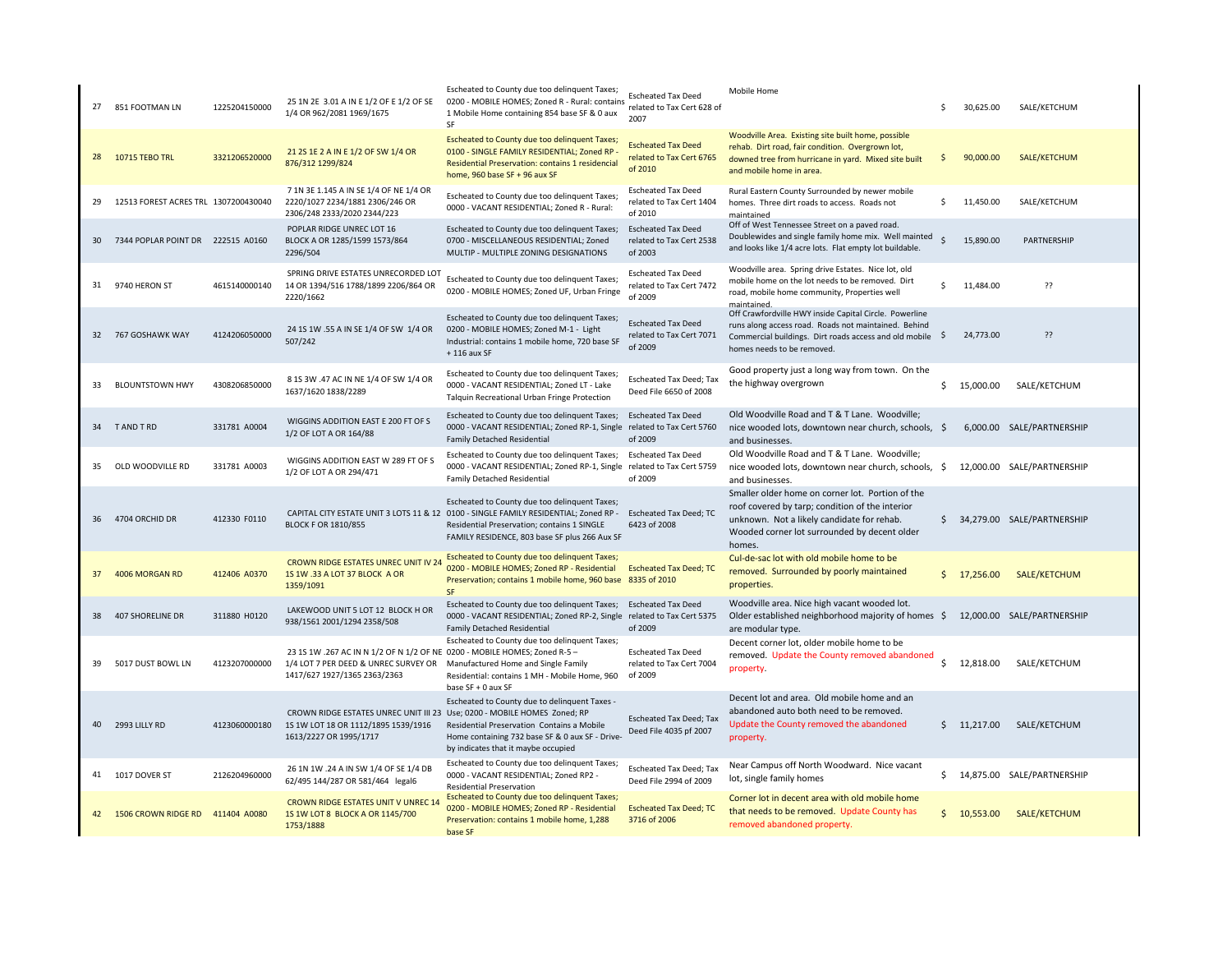|    | 27 851 FOOTMAN LN                    | 1225204150000 | 25 1N 2E 3.01 A IN E 1/2 OF E 1/2 OF SE<br>1/4 OR 962/2081 1969/1675                                                                              | Escheated to County due too delinquent Taxes;<br>0200 - MOBILE HOMES; Zoned R - Rural: contains<br>1 Mobile Home containing 854 base SF & 0 aux<br>SF                                                                                 | <b>Escheated Tax Deed</b><br>related to Tax Cert 628 of<br>2007  | Mobile Home                                                                                                                                                                                                 | Ś                  | 30,625.00   | SALE/KETCHUM                  |
|----|--------------------------------------|---------------|---------------------------------------------------------------------------------------------------------------------------------------------------|---------------------------------------------------------------------------------------------------------------------------------------------------------------------------------------------------------------------------------------|------------------------------------------------------------------|-------------------------------------------------------------------------------------------------------------------------------------------------------------------------------------------------------------|--------------------|-------------|-------------------------------|
|    | 28 10715 TEBO TRL                    | 3321206520000 | 21 25 1E 2 A IN E 1/2 OF SW 1/4 OR<br>876/312 1299/824                                                                                            | Escheated to County due too delinquent Taxes;<br>0100 - SINGLE FAMILY RESIDENTIAL; Zoned RP -<br>Residential Preservation: contains 1 residencial<br>home, 960 base SF + 96 aux SF                                                    | <b>Escheated Tax Deed</b><br>related to Tax Cert 6765<br>of 2010 | Woodville Area. Existing site built home, possible<br>rehab. Dirt road, fair condition. Overgrown lot,<br>downed tree from hurricane in yard. Mixed site built<br>and mobile home in area.                  | -\$                | 90,000.00   | SALE/KETCHUM                  |
| 29 | 12513 FOREST ACRES TRL 1307200430040 |               | 7 1N 3E 1.145 A IN SE 1/4 OF NE 1/4 OR<br>2220/1027 2234/1881 2306/246 OR<br>2306/248 2333/2020 2344/223                                          | Escheated to County due too delinquent Taxes;<br>0000 - VACANT RESIDENTIAL; Zoned R - Rural:                                                                                                                                          | <b>Escheated Tax Deed</b><br>related to Tax Cert 1404<br>of 2010 | Rural Eastern County Surrounded by newer mobile<br>homes. Three dirt roads to access. Roads not<br>maintained                                                                                               | \$                 | 11,450.00   | SALE/KETCHUM                  |
| 30 | 7344 POPLAR POINT DR 222515 A0160    |               | POPLAR RIDGE UNREC LOT 16<br>BLOCK A OR 1285/1599 1573/864<br>2296/504                                                                            | Escheated to County due too delinguent Taxes;<br>0700 - MISCELLANEOUS RESIDENTIAL; Zoned<br>MULTIP - MULTIPLE ZONING DESIGNATIONS                                                                                                     | <b>Escheated Tax Deed</b><br>related to Tax Cert 2538<br>of 2003 | Off of West Tennessee Street on a paved road.<br>Doublewides and single family home mix. Well mainted<br>and looks like 1/4 acre lots. Flat empty lot buildable.                                            | $\dot{\mathsf{s}}$ | 15,890.00   | PARTNERSHIP                   |
|    | 31 9740 HERON ST                     | 4615140000140 | SPRING DRIVE ESTATES UNRECORDED LOT<br>14 OR 1394/516 1788/1899 2206/864 OR<br>2220/1662                                                          | Escheated to County due too delinquent Taxes;<br>0200 - MOBILE HOMES; Zoned UF, Urban Fringe                                                                                                                                          | <b>Escheated Tax Deed</b><br>related to Tax Cert 7472<br>of 2009 | Woodville area. Spring drive Estates. Nice lot, old<br>mobile home on the lot needs to be removed. Dirt<br>road, mobile home community, Properties well<br>maintained.                                      | Ŝ.                 | 11,484.00   | ??                            |
|    | 32 767 GOSHAWK WAY                   | 4124206050000 | 24 15 1W .55 A IN SE 1/4 OF SW 1/4 OR<br>507/242                                                                                                  | Escheated to County due too delinquent Taxes;<br>0200 - MOBILE HOMES; Zoned M-1 - Light<br>Industrial: contains 1 mobile home, 720 base SF<br>$+116$ aux SF                                                                           | <b>Escheated Tax Deed</b><br>related to Tax Cert 7071<br>of 2009 | Off Crawfordville HWY inside Capital Circle. Powerline<br>runs along access road. Roads not maintained. Behind<br>Commercial buildings. Dirt roads access and old mobile \$<br>homes needs to be removed.   |                    | 24,773.00   | ??                            |
| 33 | <b>BLOUNTSTOWN HWY</b>               | 4308206850000 | 8 1S 3W .47 AC IN NE 1/4 OF SW 1/4 OR<br>1637/1620 1838/2289                                                                                      | Escheated to County due too delinquent Taxes;<br>0000 - VACANT RESIDENTIAL; Zoned LT - Lake<br>Talquin Recreational Urban Fringe Protection                                                                                           | <b>Escheated Tax Deed; Tax</b><br>Deed File 6650 of 2008         | Good property just a long way from town. On the<br>the highway overgrown                                                                                                                                    | \$                 | 15,000.00   | SALE/KETCHUM                  |
|    | 34 TAND TRD                          | 331781 A0004  | WIGGINS ADDITION EAST E 200 FT OF S<br>1/2 OF LOT A OR 164/88                                                                                     | Escheated to County due too delinquent Taxes; Escheated Tax Deed<br>0000 - VACANT RESIDENTIAL; Zoned RP-1, Single related to Tax Cert 5760<br><b>Family Detached Residential</b>                                                      | of 2009                                                          | Old Woodville Road and T & T Lane. Woodville;<br>nice wooded lots, downtown near church, schools, \$<br>and businesses.                                                                                     |                    |             | 6,000.00 SALE/PARTNERSHIP     |
| 35 | OLD WOODVILLE RD                     | 331781 A0003  | WIGGINS ADDITION EAST W 289 FT OF S<br>1/2 OF LOT A OR 294/471                                                                                    | Escheated to County due too delinquent Taxes;<br>0000 - VACANT RESIDENTIAL; Zoned RP-1, Single<br><b>Family Detached Residential</b>                                                                                                  | <b>Escheated Tax Deed</b><br>related to Tax Cert 5759<br>of 2009 | Old Woodville Road and T & T Lane. Woodville:<br>nice wooded lots, downtown near church, schools, \$<br>and businesses.                                                                                     |                    |             | 12,000.00 SALE/PARTNERSHIP    |
|    | 36 4704 ORCHID DR                    | 412330 F0110  | <b>BLOCK F OR 1810/855</b>                                                                                                                        | Escheated to County due too delinquent Taxes;<br>CAPITAL CITY ESTATE UNIT 3 LOTS 11 & 12 0100 - SINGLE FAMILY RESIDENTIAL; Zoned RP -<br>Residential Preservation; contains 1 SINGLE<br>FAMILY RESIDENCE, 803 base SF plus 266 Aux SF | Escheated Tax Deed; TC<br>6423 of 2008                           | Smaller older home on corner lot. Portion of the<br>roof covered by tarp; condition of the interior<br>unknown. Not a likely candidate for rehab.<br>Wooded corner lot surrounded by decent older<br>homes. |                    |             | \$ 34,279.00 SALE/PARTNERSHIP |
|    | 4006 MORGAN RD                       | 412406 A0370  | <b>CROWN RIDGE ESTATES UNREC UNIT IV 2</b><br>1S 1W .33 A LOT 37 BLOCK A OR<br>1359/1091                                                          | Escheated to County due too delinquent Taxes;<br>0200 - MOBILE HOMES; Zoned RP - Residential<br>Preservation; contains 1 mobile home, 960 base 8335 of 2010<br><b>SF</b>                                                              | <b>Escheated Tax Deed; TC</b>                                    | Cul-de-sac lot with old mobile home to be<br>removed. Surrounded by poorly maintained<br>properties.                                                                                                        | \$                 | 17,256.00   | SALE/KETCHUM                  |
| 38 | <b>407 SHORELINE DR</b>              | 311880 H0120  | LAKEWOOD UNIT 5 LOT 12 BLOCK H OR<br>938/1561 2001/1294 2358/508                                                                                  | Escheated to County due too delinquent Taxes;<br>0000 - VACANT RESIDENTIAL; Zoned RP-2, Single related to Tax Cert 5375<br><b>Family Detached Residential</b>                                                                         | <b>Escheated Tax Deed</b><br>of 2009                             | Woodville area. Nice high vacant wooded lot.<br>Older established neighborhood majority of homes \$12,000.00 SALE/PARTNERSHIP<br>are modular type.                                                          |                    |             |                               |
| 39 | 5017 DUST BOWL LN                    | 4123207000000 | 23 1S 1W .267 AC IN N 1/2 OF N 1/2 OF NE 0200 - MOBILE HOMES; Zoned R-5 -<br>1/4 LOT 7 PER DEED & UNREC SURVEY OR<br>1417/627 1927/1365 2363/2363 | Escheated to County due too delinquent Taxes;<br>Manufactured Home and Single Family<br>Residential: contains 1 MH - Mobile Home, 960<br>base SF + 0 aux SF                                                                           | <b>Escheated Tax Deed</b><br>related to Tax Cert 7004<br>of 2009 | Decent corner lot, older mobile home to be<br>removed. Update the County removed abandoned<br>property.                                                                                                     | \$                 | 12,818.00   | SALE/KETCHUM                  |
| 40 | 2993 LILLY RD                        | 4123060000180 | CROWN RIDGE ESTATES UNREC UNIT III 23 Use; 0200 - MOBILE HOMES Zoned; RP<br>1S 1W LOT 18 OR 1112/1895 1539/1916<br>1613/2227 OR 1995/1717         | Escheated to County due to delinquent Taxes -<br>Residential Preservation Contains a Mobile<br>Home containing 732 base SF & 0 aux SF - Drive-<br>by indicates that it maybe occupied                                                 | <b>Escheated Tax Deed; Tax</b><br>Deed File 4035 pf 2007         | Decent lot and area. Old mobile home and an<br>abandoned auto both need to be removed.<br>Update the County removed the abandoned<br>property.                                                              |                    | \$11,217.00 | SALE/KETCHUM                  |
|    | 41 1017 DOVER ST                     | 2126204960000 | 26 1N 1W .24 A IN SW 1/4 OF SE 1/4 DB<br>62/495 144/287 OR 581/464 legal6                                                                         | Escheated to County due too delinquent Taxes;<br>0000 - VACANT RESIDENTIAL; Zoned RP2 -<br><b>Residential Preservation</b>                                                                                                            | <b>Escheated Tax Deed; Tax</b><br>Deed File 2994 of 2009         | Near Campus off North Woodward. Nice vacant<br>lot, single family homes                                                                                                                                     | \$                 |             | 14,875.00 SALE/PARTNERSHIP    |
| 42 | 1506 CROWN RIDGE RD 411404 A0080     |               | CROWN RIDGE ESTATES UNIT V UNREC 1<br>1S 1W LOT 8 BLOCK A OR 1145/700<br>1753/1888                                                                | Escheated to County due too delinquent Taxes;<br>0200 - MOBILE HOMES; Zoned RP - Residential<br>Preservation: contains 1 mobile home, 1,288<br>base SF                                                                                | <b>Escheated Tax Deed; TC</b><br>3716 of 2006                    | Corner lot in decent area with old mobile home<br>that needs to be removed. Update County has<br>removed abandoned property.                                                                                |                    | \$10,553.00 | SALE/KETCHUM                  |